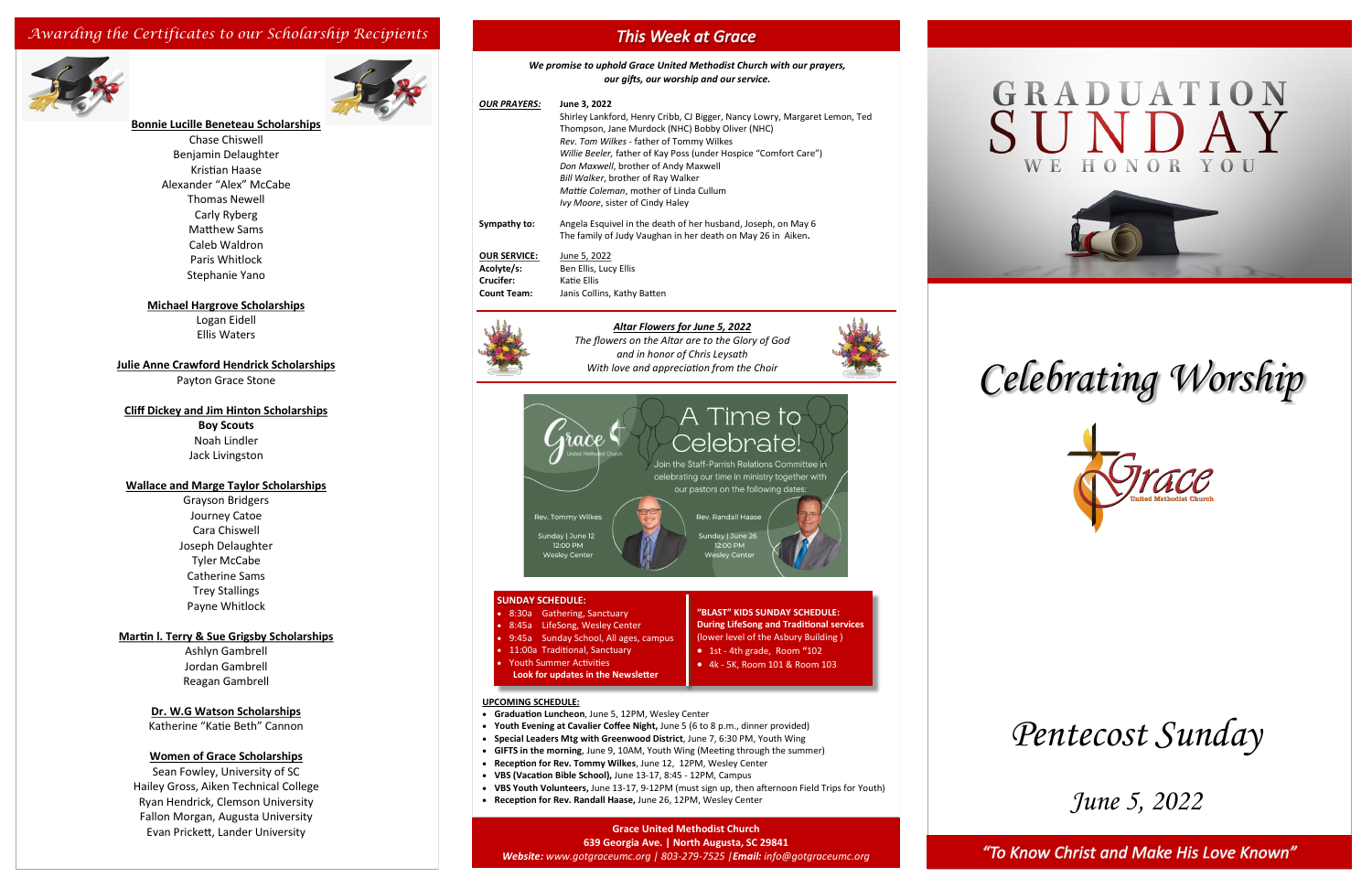## *June 5, 2022*

"To Know Christ and Make His Love Known"

*Celebrating Worship*



## **Bonnie Lucille Beneteau Scholarships**

Chase Chiswell Benjamin Delaughter Kristian Haase Alexander "Alex" McCabe Thomas Newell Carly Ryberg Matthew Sams Caleb Waldron Paris Whitlock Stephanie Yano

#### **Michael Hargrove Scholarships**

Logan Eidell Ellis Waters

**Julie Anne Crawford Hendrick Scholarships**

Payton Grace Stone

#### **Cliff Dickey and Jim Hinton Scholarships**

**Boy Scouts** Noah Lindler Jack Livingston

#### **Wallace and Marge Taylor Scholarships**

Grayson Bridgers Journey Catoe Cara Chiswell Joseph Delaughter Tyler McCabe Catherine Sams Trey Stallings Payne Whitlock

#### **Martin l. Terry & Sue Grigsby Scholarships**

Ashlyn Gambrell Jordan Gambrell Reagan Gambrell

#### **Dr. W.G Watson Scholarships**

Katherine "Katie Beth" Cannon

#### **Women of Grace Scholarships**

Sean Fowley, University of SC Hailey Gross, Aiken Technical College Ryan Hendrick, Clemson University Fallon Morgan, Augusta University Evan Prickett, Lander University

## **This Week at Grace**

## *Awarding the Certificates to our Scholarship Recipients*



*We promise to uphold Grace United Methodist Church with our prayers, our gifts, our worship and our service.*

#### **Grace United Methodist Church 639 Georgia Ave. | North Augusta, SC 29841**

*Website: www.gotgraceumc.org | 803-279-7525 |Email: info@gotgraceumc.org*



#### *Altar Flowers for June 5, 2022*

*The flowers on the Altar are to the Glory of God and in honor of Chris Leysath With love and appreciation from the Choir*



#### **SUNDAY SCHEDULE:**

| OUR PRAYERS:                                                         | June 3, 2022<br>Shirley Lankford, Henry Cribb, CJ Bigger, Nancy Lowry, Margaret Lemon, Ted<br>Thompson, Jane Murdock (NHC) Bobby Oliver (NHC)<br>Rev. Tom Wilkes - father of Tommy Wilkes<br>Willie Beeler, father of Kay Poss (under Hospice "Comfort Care")<br>Don Maxwell, brother of Andy Maxwell<br>Bill Walker, brother of Ray Walker<br>Mattie Coleman, mother of Linda Cullum<br>Ivy Moore, sister of Cindy Haley |  |
|----------------------------------------------------------------------|---------------------------------------------------------------------------------------------------------------------------------------------------------------------------------------------------------------------------------------------------------------------------------------------------------------------------------------------------------------------------------------------------------------------------|--|
| Sympathy to:                                                         | Angela Esquivel in the death of her husband, Joseph, on May 6<br>The family of Judy Vaughan in her death on May 26 in Aiken.                                                                                                                                                                                                                                                                                              |  |
| <b>OUR SERVICE:</b><br>Acolyte/s:<br>Crucifer:<br><b>Count Team:</b> | June 5, 2022<br>Ben Ellis, Lucy Ellis<br>Katie Ellis<br>Janis Collins, Kathy Batten                                                                                                                                                                                                                                                                                                                                       |  |
|                                                                      |                                                                                                                                                                                                                                                                                                                                                                                                                           |  |

- 8:30a Gathering, Sanctuary
- 8:45a LifeSong, Wesley Center
- 9:45a Sunday School, All ages, campus
- 11:00a Traditional, Sanctuary • Youth Summer Activities
- **Look for updates in the Newsletter**

**"BLAST" KIDS SUNDAY SCHEDULE: During LifeSong and Traditional services**

- 
- 

### (lower level of the Asbury Building ) • 1st - 4th grade, Room **"**102 • 4k - 5K, Room 101 & Room 103

- 
- 

#### **UPCOMING SCHEDULE:**

- **Graduation Luncheon**, June 5, 12PM, Wesley Center
- **Youth Evening at Cavalier Coffee Night,** June 5 (6 to 8 p.m., dinner provided)
- **Special Leaders Mtg with Greenwood District**, June 7, 6:30 PM, Youth Wing
- **GIFTS in the morning**, June 9, 10AM, Youth Wing (Meeting through the summer)
- **Reception for Rev. Tommy Wilkes**, June 12, 12PM, Wesley Center
- **VBS (Vacation Bible School),** June 13-17, 8:45 12PM, Campus
- **VBS Youth Volunteers,** June 13-17, 9-12PM (must sign up, then afternoon Field Trips for Youth)
- **Reception for Rev. Randall Haase,** June 26, 12PM, Wesley Center

# *Pentecost Sunday*